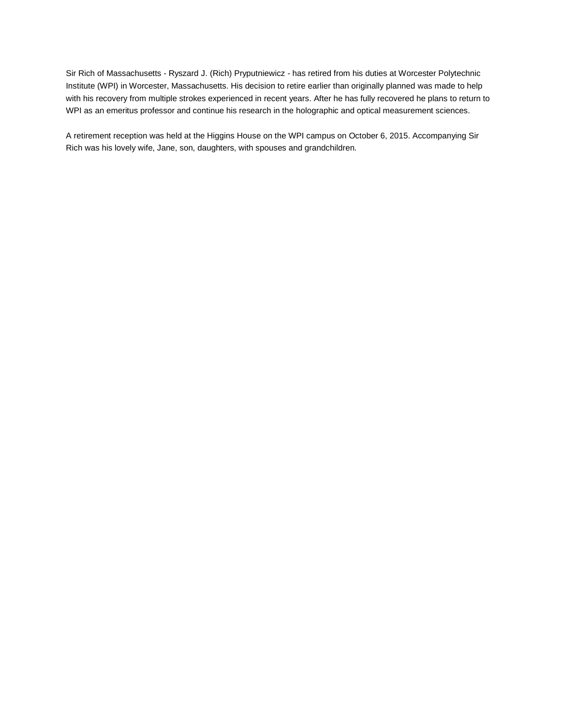Sir Rich of Massachusetts - Ryszard J. (Rich) Pryputniewicz - has retired from his duties at Worcester Polytechnic Institute (WPI) in Worcester, Massachusetts. His decision to retire earlier than originally planned was made to help with his recovery from multiple strokes experienced in recent years. After he has fully recovered he plans to return to WPI as an emeritus professor and continue his research in the holographic and optical measurement sciences.

A retirement reception was held at the Higgins House on the WPI campus on October 6, 2015. Accompanying Sir Rich was his lovely wife, Jane, son, daughters, with spouses and grandchildren.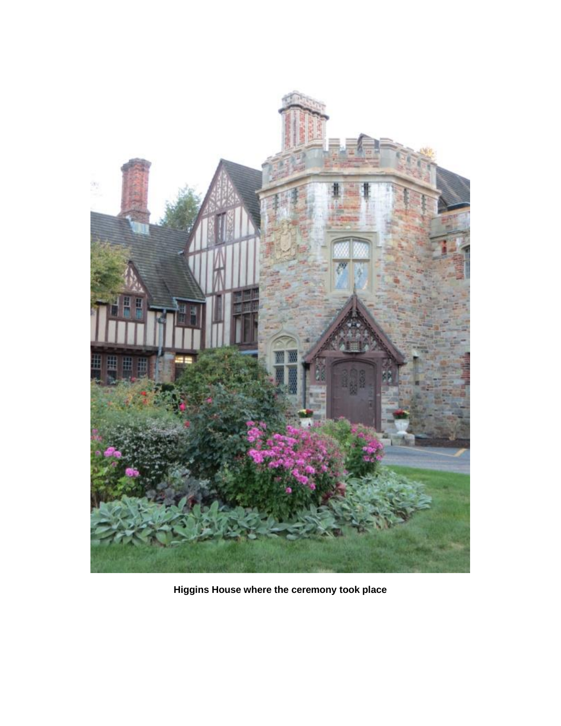

**Higgins House where the ceremony took place**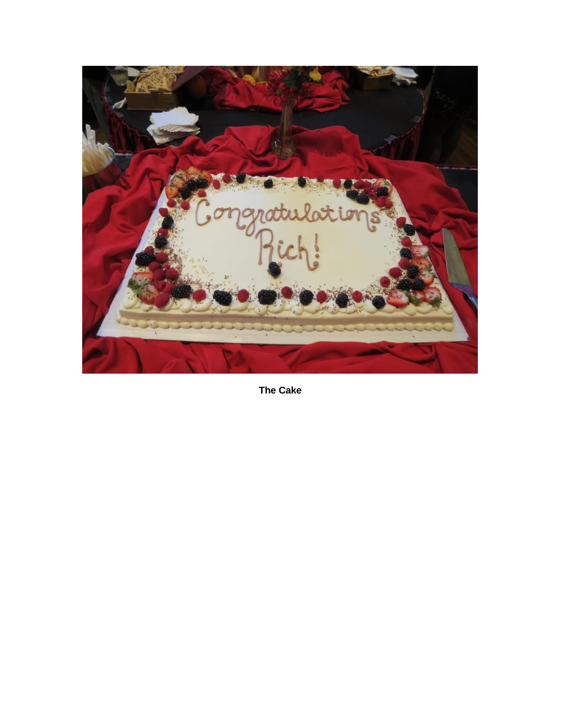

**The Cake**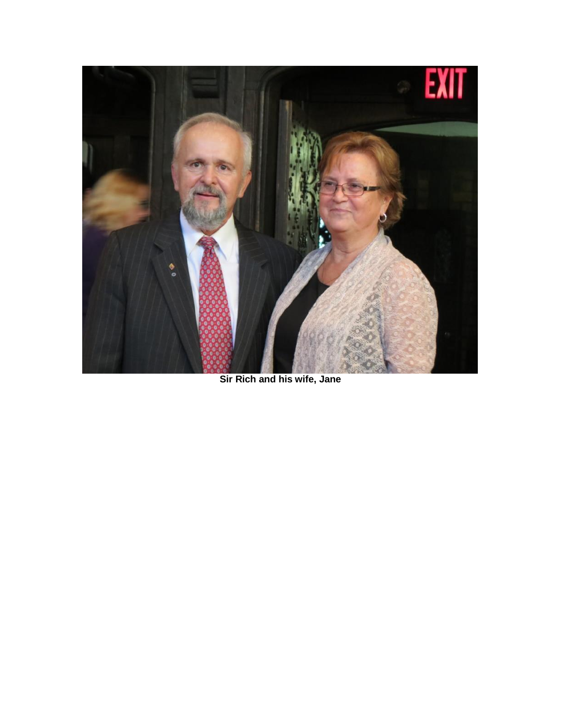

**Sir Rich and his wife, Jane**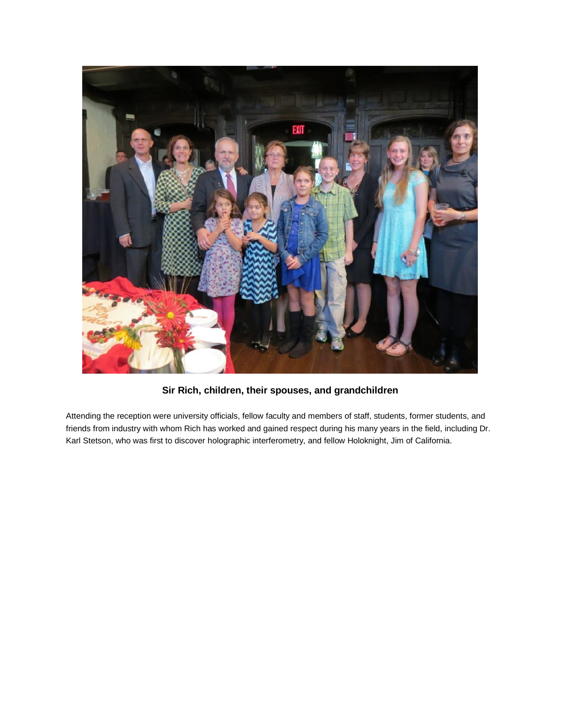

**Sir Rich, children, their spouses, and grandchildren**

Attending the reception were university officials, fellow faculty and members of staff, students, former students, and friends from industry with whom Rich has worked and gained respect during his many years in the field, including Dr. Karl Stetson, who was first to discover holographic interferometry, and fellow Holoknight, Jim of California.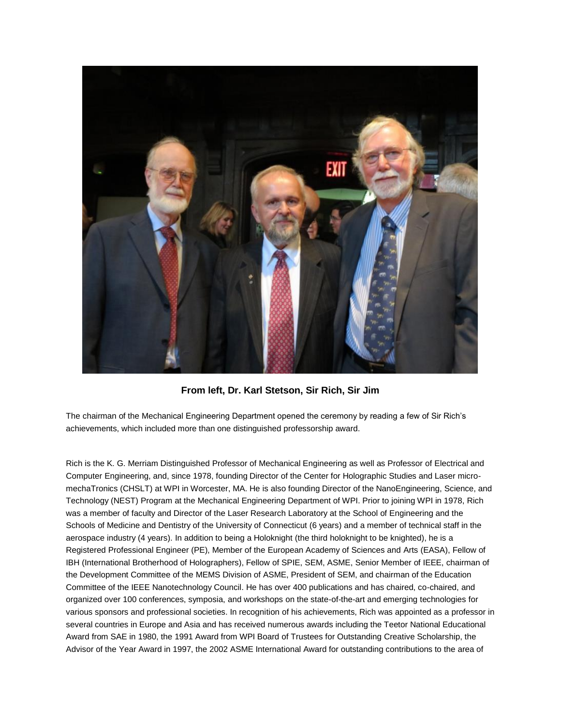

**From left, Dr. Karl Stetson, Sir Rich, Sir Jim**

The chairman of the Mechanical Engineering Department opened the ceremony by reading a few of Sir Rich's achievements, which included more than one distinguished professorship award.

Rich is the K. G. Merriam Distinguished Professor of Mechanical Engineering as well as Professor of Electrical and Computer Engineering, and, since 1978, founding Director of the Center for Holographic Studies and Laser micromechaTronics (CHSLT) at WPI in Worcester, MA. He is also founding Director of the NanoEngineering, Science, and Technology (NEST) Program at the Mechanical Engineering Department of WPI. Prior to joining WPI in 1978, Rich was a member of faculty and Director of the Laser Research Laboratory at the School of Engineering and the Schools of Medicine and Dentistry of the University of Connecticut (6 years) and a member of technical staff in the aerospace industry (4 years). In addition to being a Holoknight (the third holoknight to be knighted), he is a Registered Professional Engineer (PE), Member of the European Academy of Sciences and Arts (EASA), Fellow of IBH (International Brotherhood of Holographers), Fellow of SPIE, SEM, ASME, Senior Member of IEEE, chairman of the Development Committee of the MEMS Division of ASME, President of SEM, and chairman of the Education Committee of the IEEE Nanotechnology Council. He has over 400 publications and has chaired, co-chaired, and organized over 100 conferences, symposia, and workshops on the state-of-the-art and emerging technologies for various sponsors and professional societies. In recognition of his achievements, Rich was appointed as a professor in several countries in Europe and Asia and has received numerous awards including the Teetor National Educational Award from SAE in 1980, the 1991 Award from WPI Board of Trustees for Outstanding Creative Scholarship, the Advisor of the Year Award in 1997, the 2002 ASME International Award for outstanding contributions to the area of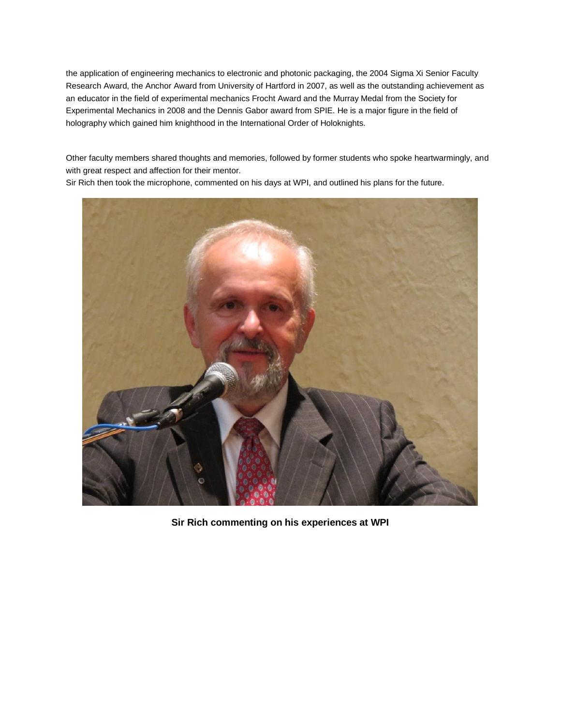the application of engineering mechanics to electronic and photonic packaging, the 2004 Sigma Xi Senior Faculty Research Award, the Anchor Award from University of Hartford in 2007, as well as the outstanding achievement as an educator in the field of experimental mechanics Frocht Award and the Murray Medal from the Society for Experimental Mechanics in 2008 and the Dennis Gabor award from SPIE. He is a major figure in the field of holography which gained him knighthood in the International Order of Holoknights.

Other faculty members shared thoughts and memories, followed by former students who spoke heartwarmingly, and with great respect and affection for their mentor.

Sir Rich then took the microphone, commented on his days at WPI, and outlined his plans for the future.



**Sir Rich commenting on his experiences at WPI**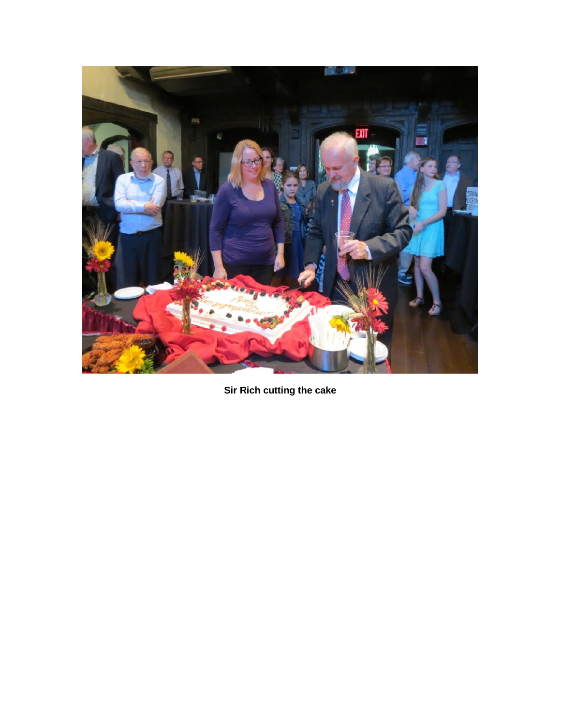

**Sir Rich cutting the cake**